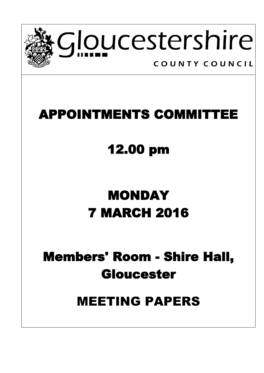

## **APPOINTMENTS COMMITTEE**

## **12.00 pm**

# **MONDAY 7 MARCH 2016**

## **Members' Room - Shire Hall, Gloucester**

## MEETING PAPERS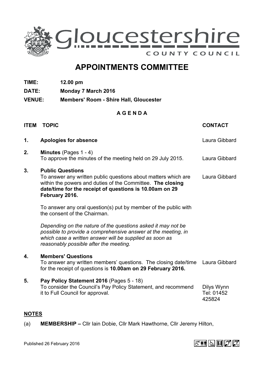

### **APPOINTMENTS COMMITTEE**

- **TIME: 12.00 pm**
- **DATE: Monday 7 March 2016**
- **VENUE: Members' Room - Shire Hall, Gloucester**

### **A G E N D A**

| <b>ITEM</b> | <b>TOPIC</b>                                                                                                                                                                                                                         | <b>CONTACT</b>                     |
|-------------|--------------------------------------------------------------------------------------------------------------------------------------------------------------------------------------------------------------------------------------|------------------------------------|
| 1.          | <b>Apologies for absence</b>                                                                                                                                                                                                         | Laura Gibbard                      |
| 2.          | Minutes (Pages 1 - 4)<br>To approve the minutes of the meeting held on 29 July 2015.                                                                                                                                                 | Laura Gibbard                      |
| 3.          | <b>Public Questions</b><br>To answer any written public questions about matters which are<br>within the powers and duties of the Committee. The closing<br>date/time for the receipt of questions is 10.00am on 29<br>February 2016. | Laura Gibbard                      |
|             | To answer any oral question(s) put by member of the public with<br>the consent of the Chairman.                                                                                                                                      |                                    |
|             | Depending on the nature of the questions asked it may not be<br>possible to provide a comprehensive answer at the meeting, in<br>which case a written answer will be supplied as soon as<br>reasonably possible after the meeting.   |                                    |
| 4.          | <b>Members' Questions</b><br>To answer any written members' questions. The closing date/time<br>for the receipt of questions is 10.00am on 29 February 2016.                                                                         | Laura Gibbard                      |
| 5.          | Pay Policy Statement 2016 (Pages 5 - 18)<br>To consider the Council's Pay Policy Statement, and recommend<br>it to Full Council for approval.                                                                                        | Dilys Wynn<br>Tel: 01452<br>425824 |

#### **NOTES**

(a) **MEMBERSHIP –** Cllr Iain Dobie, Cllr Mark Hawthorne, Cllr Jeremy Hilton,

Published 26 February 2016